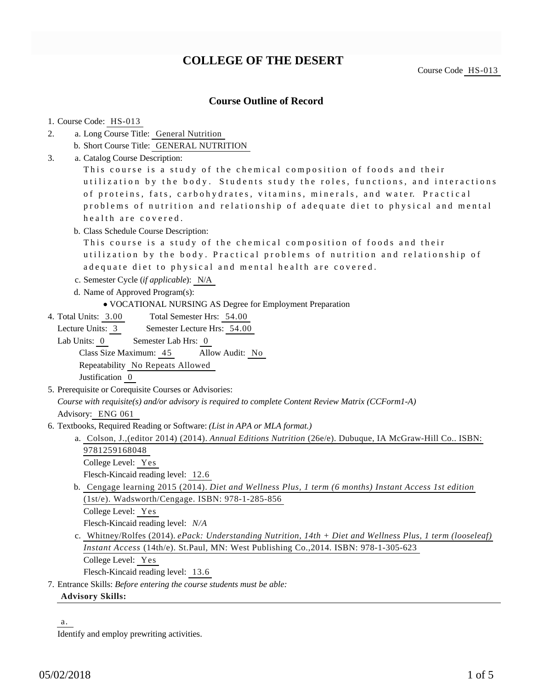## **COLLEGE OF THE DESERT**

Course Code HS-013

## **Course Outline of Record**

| 1. Course Code: HS-013                                                                                      |
|-------------------------------------------------------------------------------------------------------------|
| a. Long Course Title: General Nutrition<br>2.                                                               |
| b. Short Course Title: GENERAL NUTRITION                                                                    |
| a. Catalog Course Description:<br>3.                                                                        |
| This course is a study of the chemical composition of foods and their                                       |
| utilization by the body. Students study the roles, functions, and interactions                              |
| of proteins, fats, carbohydrates, vitamins, minerals, and water. Practical                                  |
| problems of nutrition and relationship of adequate diet to physical and mental                              |
| health are covered.                                                                                         |
| b. Class Schedule Course Description:                                                                       |
| This course is a study of the chemical composition of foods and their                                       |
| utilization by the body. Practical problems of nutrition and relationship of                                |
| adequate diet to physical and mental health are covered.                                                    |
| c. Semester Cycle (if applicable): N/A                                                                      |
| d. Name of Approved Program(s):                                                                             |
| • VOCATIONAL NURSING AS Degree for Employment Preparation                                                   |
| Total Semester Hrs: 54.00<br>4. Total Units: 3.00                                                           |
| Lecture Units: 3<br>Semester Lecture Hrs: 54.00                                                             |
| Lab Units: 0<br>Semester Lab Hrs: 0                                                                         |
| Class Size Maximum: 45<br>Allow Audit: No                                                                   |
| Repeatability No Repeats Allowed                                                                            |
| Justification 0                                                                                             |
| 5. Prerequisite or Corequisite Courses or Advisories:                                                       |
| Course with requisite(s) and/or advisory is required to complete Content Review Matrix (CCForm1-A)          |
| Advisory: ENG 061                                                                                           |
| 6. Textbooks, Required Reading or Software: (List in APA or MLA format.)                                    |
| a. Colson, J., (editor 2014) (2014). Annual Editions Nutrition (26e/e). Dubuque, IA McGraw-Hill Co ISBN:    |
| 9781259168048                                                                                               |
| College Level: Yes                                                                                          |
| Flesch-Kincaid reading level: 12.6                                                                          |
| b. Cengage learning 2015 (2014). Diet and Wellness Plus, 1 term (6 months) Instant Access 1st edition       |
| (1st/e). Wadsworth/Cengage. ISBN: 978-1-285-856                                                             |
| College Level: Yes                                                                                          |
| Flesch-Kincaid reading level: N/A                                                                           |
| c. Whitney/Rolfes (2014). ePack: Understanding Nutrition, 14th + Diet and Wellness Plus, 1 term (looseleaf) |
| Instant Access (14th/e). St.Paul, MN: West Publishing Co., 2014. ISBN: 978-1-305-623                        |
| College Level: Yes                                                                                          |
| Flesch-Kincaid reading level: 13.6                                                                          |
| 7. Entrance Skills: Before entering the course students must be able:                                       |
| <b>Advisory Skills:</b>                                                                                     |

a.

Identify and employ prewriting activities.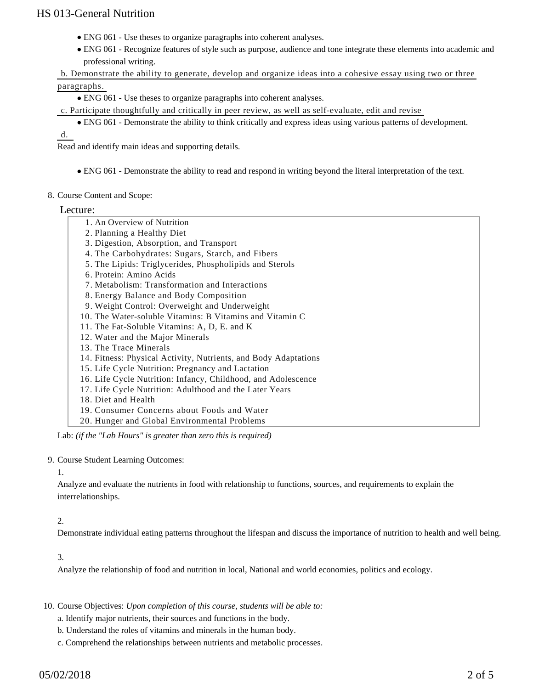- ENG 061 Use theses to organize paragraphs into coherent analyses.
- ENG 061 Recognize features of style such as purpose, audience and tone integrate these elements into academic and professional writing.

b. Demonstrate the ability to generate, develop and organize ideas into a cohesive essay using two or three

#### paragraphs.

- ENG 061 Use theses to organize paragraphs into coherent analyses.
- c. Participate thoughtfully and critically in peer review, as well as self-evaluate, edit and revise
	- ENG 061 Demonstrate the ability to think critically and express ideas using various patterns of development.

d.

Read and identify main ideas and supporting details.

- ENG 061 Demonstrate the ability to read and respond in writing beyond the literal interpretation of the text.
- 8. Course Content and Scope:

#### Lecture:

- 1. An Overview of Nutrition
- 2. Planning a Healthy Diet
- 3. Digestion, Absorption, and Transport
- 4. The Carbohydrates: Sugars, Starch, and Fibers
- 5. The Lipids: Triglycerides, Phospholipids and Sterols
- 6. Protein: Amino Acids
- 7. Metabolism: Transformation and Interactions
- 8. Energy Balance and Body Composition
- 9. Weight Control: Overweight and Underweight
- 10. The Water-soluble Vitamins: B Vitamins and Vitamin C
- 11. The Fat-Soluble Vitamins: A, D, E. and K
- 12. Water and the Major Minerals
- 13. The Trace Minerals
- 14. Fitness: Physical Activity, Nutrients, and Body Adaptations
- 15. Life Cycle Nutrition: Pregnancy and Lactation
- 16. Life Cycle Nutrition: Infancy, Childhood, and Adolescence
- 17. Life Cycle Nutrition: Adulthood and the Later Years
- 18. Diet and Health
- 19. Consumer Concerns about Foods and Water
- 20. Hunger and Global Environmental Problems

Lab: *(if the "Lab Hours" is greater than zero this is required)*

9. Course Student Learning Outcomes:

#### 1.

Analyze and evaluate the nutrients in food with relationship to functions, sources, and requirements to explain the interrelationships.

#### 2.

Demonstrate individual eating patterns throughout the lifespan and discuss the importance of nutrition to health and well being.

#### 3.

Analyze the relationship of food and nutrition in local, National and world economies, politics and ecology.

#### 10. Course Objectives: Upon completion of this course, students will be able to:

- a. Identify major nutrients, their sources and functions in the body.
- b. Understand the roles of vitamins and minerals in the human body.
- c. Comprehend the relationships between nutrients and metabolic processes.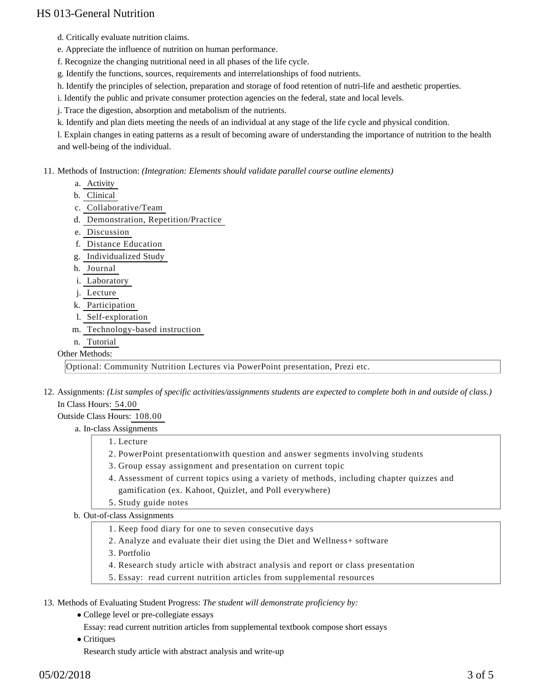- d. Critically evaluate nutrition claims.
- e. Appreciate the influence of nutrition on human performance.
- f. Recognize the changing nutritional need in all phases of the life cycle.
- g. Identify the functions, sources, requirements and interrelationships of food nutrients.
- h. Identify the principles of selection, preparation and storage of food retention of nutri-life and aesthetic properties.
- i. Identify the public and private consumer protection agencies on the federal, state and local levels.
- j. Trace the digestion, absorption and metabolism of the nutrients.
- k. Identify and plan diets meeting the needs of an individual at any stage of the life cycle and physical condition.
- l. Explain changes in eating patterns as a result of becoming aware of understanding the importance of nutrition to the health and well-being of the individual.
- 11. Methods of Instruction: *(Integration: Elements should validate parallel course outline elements)* 
	- a. Activity
	- b. Clinical
	- c. Collaborative/Team
	- d. Demonstration, Repetition/Practice
	- e. Discussion
	- f. Distance Education
	- g. Individualized Study
	- h. Journal
	- i. Laboratory
	- j. Lecture
	- k. Participation
	- l. Self-exploration
	- m. Technology-based instruction
	- n. Tutorial

#### Other Methods:

Optional: Community Nutrition Lectures via PowerPoint presentation, Prezi etc.

12. Assignments: (List samples of specific activities/assignments students are expected to complete both in and outside of class.) In Class Hours: 54.00

Outside Class Hours: 108.00

a. In-class Assignments

- 1. Lecture
- 2. PowerPoint presentationwith question and answer segments involving students
- 3. Group essay assignment and presentation on current topic
- Assessment of current topics using a variety of methods, including chapter quizzes and 4. gamification (ex. Kahoot, Quizlet, and Poll everywhere)
- 5. Study guide notes
- b. Out-of-class Assignments
	- 1. Keep food diary for one to seven consecutive days
	- 2. Analyze and evaluate their diet using the Diet and Wellness+ software
	- 3. Portfolio
	- 4. Research study article with abstract analysis and report or class presentation
	- 5. Essay: read current nutrition articles from supplemental resources

13. Methods of Evaluating Student Progress: The student will demonstrate proficiency by:

- College level or pre-collegiate essays
	- Essay: read current nutrition articles from supplemental textbook compose short essays
- Critiques

Research study article with abstract analysis and write-up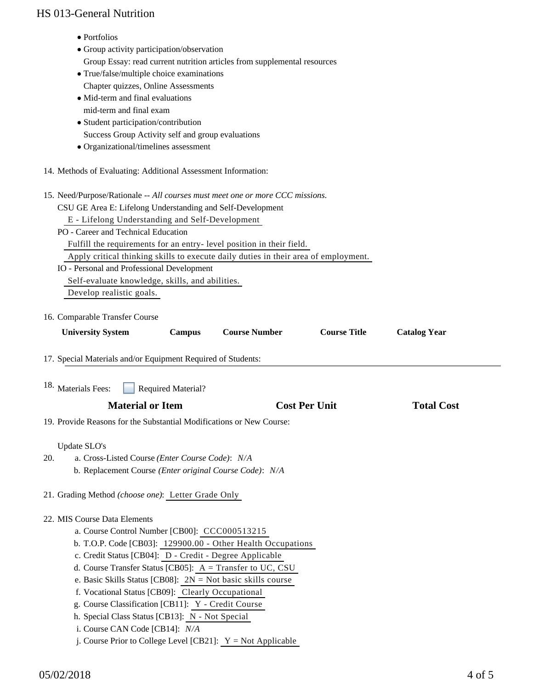| IS UTS-UEIIEI AI INUITIIOII                                                         |                           |                      |  |                   |
|-------------------------------------------------------------------------------------|---------------------------|----------------------|--|-------------------|
| • Portfolios                                                                        |                           |                      |  |                   |
| • Group activity participation/observation                                          |                           |                      |  |                   |
| Group Essay: read current nutrition articles from supplemental resources            |                           |                      |  |                   |
| • True/false/multiple choice examinations                                           |                           |                      |  |                   |
| Chapter quizzes, Online Assessments                                                 |                           |                      |  |                   |
| • Mid-term and final evaluations                                                    |                           |                      |  |                   |
| mid-term and final exam                                                             |                           |                      |  |                   |
| • Student participation/contribution                                                |                           |                      |  |                   |
| Success Group Activity self and group evaluations                                   |                           |                      |  |                   |
| • Organizational/timelines assessment                                               |                           |                      |  |                   |
| 14. Methods of Evaluating: Additional Assessment Information:                       |                           |                      |  |                   |
| 15. Need/Purpose/Rationale -- All courses must meet one or more CCC missions.       |                           |                      |  |                   |
| CSU GE Area E: Lifelong Understanding and Self-Development                          |                           |                      |  |                   |
| E - Lifelong Understanding and Self-Development                                     |                           |                      |  |                   |
| PO - Career and Technical Education                                                 |                           |                      |  |                   |
| Fulfill the requirements for an entry-level position in their field.                |                           |                      |  |                   |
| Apply critical thinking skills to execute daily duties in their area of employment. |                           |                      |  |                   |
| IO - Personal and Professional Development                                          |                           |                      |  |                   |
| Self-evaluate knowledge, skills, and abilities.                                     |                           |                      |  |                   |
| Develop realistic goals.                                                            |                           |                      |  |                   |
| 17. Special Materials and/or Equipment Required of Students:                        |                           |                      |  |                   |
| 18. Materials Fees:                                                                 | <b>Required Material?</b> |                      |  |                   |
| <b>Material or Item</b>                                                             |                           | <b>Cost Per Unit</b> |  | <b>Total Cost</b> |
| 19. Provide Reasons for the Substantial Modifications or New Course:                |                           |                      |  |                   |
| Update SLO's                                                                        |                           |                      |  |                   |
| 20.<br>a. Cross-Listed Course (Enter Course Code): N/A                              |                           |                      |  |                   |
| b. Replacement Course (Enter original Course Code): N/A                             |                           |                      |  |                   |
| 21. Grading Method (choose one): Letter Grade Only                                  |                           |                      |  |                   |
| 22. MIS Course Data Elements                                                        |                           |                      |  |                   |
| a. Course Control Number [CB00]: CCC000513215                                       |                           |                      |  |                   |
| b. T.O.P. Code [CB03]: 129900.00 - Other Health Occupations                         |                           |                      |  |                   |
| c. Credit Status [CB04]: D - Credit - Degree Applicable                             |                           |                      |  |                   |
| d. Course Transfer Status [CB05]: A = Transfer to UC, CSU                           |                           |                      |  |                   |
| e. Basic Skills Status [CB08]: $2N = Not basic skills course$                       |                           |                      |  |                   |
| f. Vocational Status [CB09]: Clearly Occupational                                   |                           |                      |  |                   |
| g. Course Classification [CB11]: Y - Credit Course                                  |                           |                      |  |                   |
| h. Special Class Status [CB13]: N - Not Special                                     |                           |                      |  |                   |
| i. Course CAN Code [CB14]: N/A                                                      |                           |                      |  |                   |
| j. Course Prior to College Level [CB21]: $Y = Not$ Applicable                       |                           |                      |  |                   |